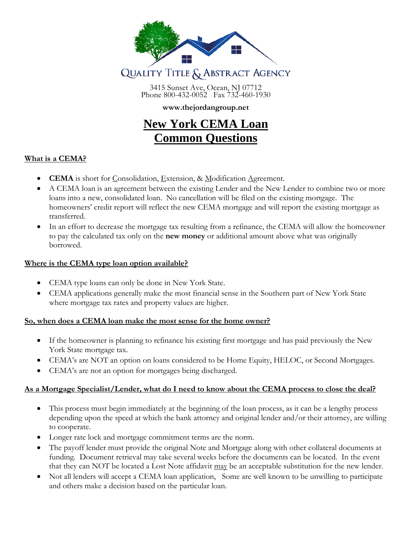

3415 Sunset Ave, Ocean, NJ 07712 Phone 800-432-0052 Fax 732-460-1930

## **www.thejordangroup.net**

# **New York CEMA Loan Common Questions**

## **What is a CEMA?**

- **CEMA** is short for Consolidation, Extension, & Modification Agreement.
- A CEMA loan is an agreement between the existing Lender and the New Lender to combine two or more loans into a new, consolidated loan. No cancellation will be filed on the existing mortgage. The homeowners' credit report will reflect the new CEMA mortgage and will report the existing mortgage as transferred.
- In an effort to decrease the mortgage tax resulting from a refinance, the CEMA will allow the homeowner to pay the calculated tax only on the **new money** or additional amount above what was originally borrowed.

## **Where is the CEMA type loan option available?**

- CEMA type loans can only be done in New York State.
- CEMA applications generally make the most financial sense in the Southern part of New York State where mortgage tax rates and property values are higher.

#### **So, when does a CEMA loan make the most sense for the home owner?**

- If the homeowner is planning to refinance his existing first mortgage and has paid previously the New York State mortgage tax.
- CEMA's are NOT an option on loans considered to be Home Equity, HELOC, or Second Mortgages.
- CEMA's are not an option for mortgages being discharged.

# **As a Mortgage Specialist/Lender, what do I need to know about the CEMA process to close the deal?**

- This process must begin immediately at the beginning of the loan process, as it can be a lengthy process depending upon the speed at which the bank attorney and original lender and/or their attorney, are willing to cooperate.
- Longer rate lock and mortgage commitment terms are the norm.
- The payoff lender must provide the original Note and Mortgage along with other collateral documents at funding. Document retrieval may take several weeks before the documents can be located. In the event that they can NOT be located a Lost Note affidavit may be an acceptable substitution for the new lender.
- Not all lenders will accept a CEMA loan application, Some are well known to be unwilling to participate and others make a decision based on the particular loan.